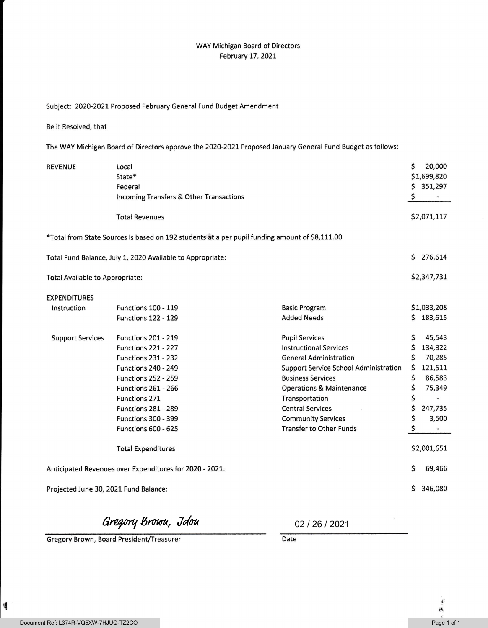## WAY Michigan Board of Directors February 17, 2021

## Subject: 2020-2021 Proposed February General Fund Budget Amendment

Be it Resolved, that

The WAY Michigan Board of Directors approve the 2020-2021 Proposed January General Fund Budget as follows:

| <b>REVENUE</b>                                                                                 | Local<br>State*<br>Federal<br>Incoming Transfers & Other Transactions |                                       | Ś<br>\$<br>\$ | 20,000<br>\$1,699,820<br>351,297 |
|------------------------------------------------------------------------------------------------|-----------------------------------------------------------------------|---------------------------------------|---------------|----------------------------------|
|                                                                                                | <b>Total Revenues</b>                                                 |                                       |               | \$2,071,117                      |
| *Total from State Sources is based on 192 students at a per pupil funding amount of \$8,111.00 |                                                                       |                                       |               |                                  |
| Total Fund Balance, July 1, 2020 Available to Appropriate:                                     |                                                                       |                                       | Ś.            | 276,614                          |
| Total Available to Appropriate:                                                                |                                                                       |                                       |               | \$2,347,731                      |
| <b>EXPENDITURES</b>                                                                            |                                                                       |                                       |               |                                  |
| Instruction                                                                                    | <b>Functions 100 - 119</b>                                            | <b>Basic Program</b>                  |               | \$1,033,208                      |
|                                                                                                | <b>Functions 122 - 129</b>                                            | <b>Added Needs</b>                    |               | \$183,615                        |
| <b>Support Services</b>                                                                        | <b>Functions 201 - 219</b>                                            | <b>Pupil Services</b>                 | \$            | 45,543                           |
|                                                                                                | Functions 221 - 227                                                   | <b>Instructional Services</b>         | \$            | 134,322                          |
|                                                                                                | <b>Functions 231 - 232</b>                                            | <b>General Administration</b>         | \$            | 70,285                           |
|                                                                                                | <b>Functions 240 - 249</b>                                            | Support Service School Administration | \$            | 121,511                          |
|                                                                                                | <b>Functions 252 - 259</b>                                            | <b>Business Services</b>              | \$            | 86,583                           |
|                                                                                                | <b>Functions 261 - 266</b>                                            | <b>Operations &amp; Maintenance</b>   | \$            | 75,349                           |
|                                                                                                | Functions 271                                                         | Transportation                        | \$            |                                  |
|                                                                                                | <b>Functions 281 - 289</b>                                            | <b>Central Services</b>               | \$            | 247,735                          |
|                                                                                                | <b>Functions 300 - 399</b>                                            | <b>Community Services</b>             | \$            | 3,500                            |
|                                                                                                | Functions 600 - 625                                                   | <b>Transfer to Other Funds</b>        | \$            |                                  |
|                                                                                                | <b>Total Expenditures</b>                                             |                                       |               | \$2,001,651                      |
| Anticipated Revenues over Expenditures for 2020 - 2021:                                        |                                                                       |                                       | \$            | 69,466                           |
| Projected June 30, 2021 Fund Balance:                                                          |                                                                       |                                       | S             | 346,080                          |

Gregory Brown, Jdou

Gregory Brown, Board President/Treasurer Date

02 / 26 / 2021

1